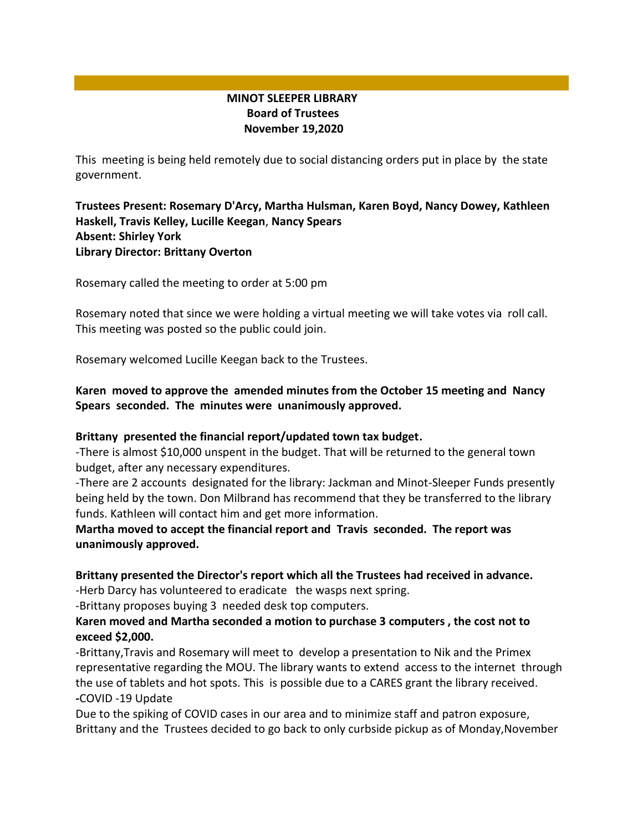# **MINOT SLEEPER LIBRARY Board of Trustees November 19,2020**

This meeting is being held remotely due to social distancing orders put in place by the state government.

## **Trustees Present: Rosemary D'Arcy, Martha Hulsman, Karen Boyd, Nancy Dowey, Kathleen Haskell, Travis Kelley, Lucille Keegan**, **Nancy Spears Absent: Shirley York Library Director: Brittany Overton**

Rosemary called the meeting to order at 5:00 pm

Rosemary noted that since we were holding a virtual meeting we will take votes via roll call. This meeting was posted so the public could join.

Rosemary welcomed Lucille Keegan back to the Trustees.

## **Karen moved to approve the amended minutes from the October 15 meeting and Nancy Spears seconded. The minutes were unanimously approved.**

## **Brittany presented the financial report/updated town tax budget.**

-There is almost \$10,000 unspent in the budget. That will be returned to the general town budget, after any necessary expenditures.

-There are 2 accounts designated for the library: Jackman and Minot-Sleeper Funds presently being held by the town. Don Milbrand has recommend that they be transferred to the library funds. Kathleen will contact him and get more information.

**Martha moved to accept the financial report and Travis seconded. The report was unanimously approved.**

## **Brittany presented the Director's report which all the Trustees had received in advance.**

-Herb Darcy has volunteered to eradicate the wasps next spring.

-Brittany proposes buying 3 needed desk top computers.

#### **Karen moved and Martha seconded a motion to purchase 3 computers , the cost not to exceed \$2,000.**

-Brittany,Travis and Rosemary will meet to develop a presentation to Nik and the Primex representative regarding the MOU. The library wants to extend access to the internet through the use of tablets and hot spots. This is possible due to a CARES grant the library received. **-**COVID -19 Update

Due to the spiking of COVID cases in our area and to minimize staff and patron exposure, Brittany and the Trustees decided to go back to only curbside pickup as of Monday,November